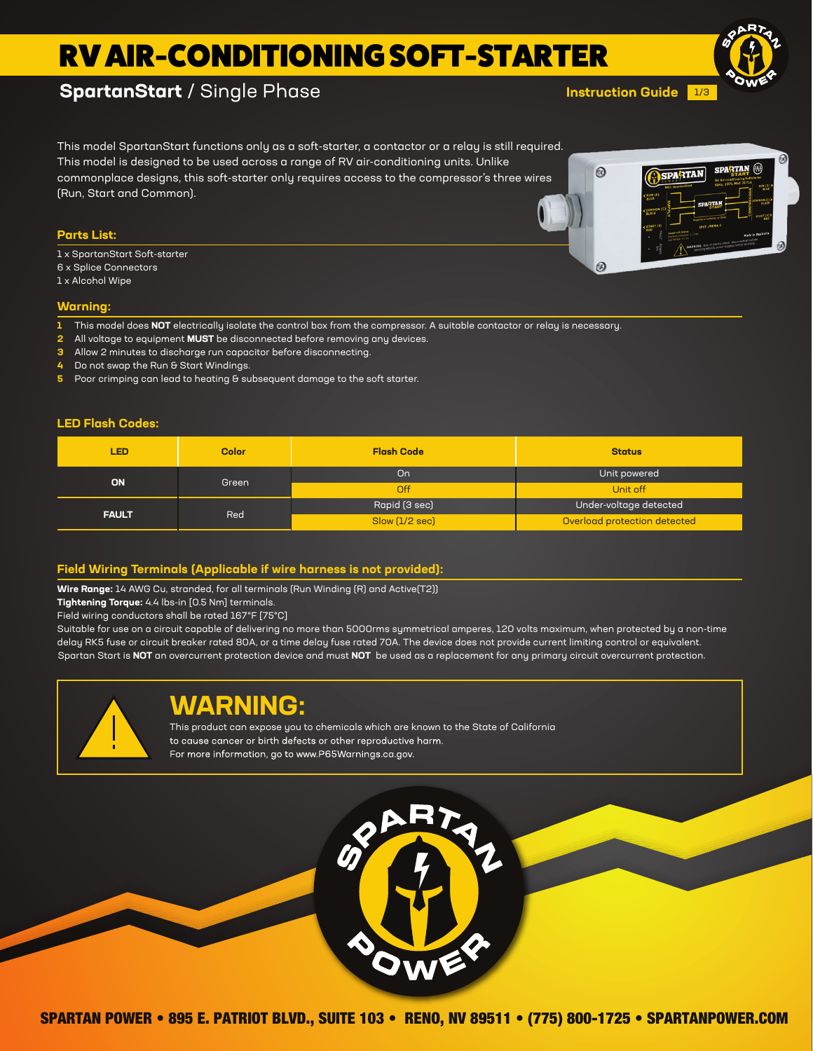# RV AIR-CONDITIONING SOFT-STARTER

## **SpartanStart** / Single Phase

1/3 **Instruction Guide**



This model SpartanStart functions only as a soft-starter, a contactor or a relay is still required. This model is designed to be used across a range of RV air-conditioning units. Unlike commonplace designs, this soft-starter only requires access to the compressor's three wires (Run, Start and Common).

### **Parts List:**

- 1 x SpartanStart Soft-starter
- 6 x Splice Connectors
- 1 x Alcohol Wipe

### **Warning:**

- **1** This model does **NOT** electrically isolate the control box from the compressor. A suitable contactor or relay is necessary.
- **2** All voltage to equipment **MUST** be disconnected before removing any devices.
- **3** Allow 2 minutes to discharge run capacitor before disconnecting.
- **4** Do not swap the Run & Start Windings.
- **5** Poor crimping can lead to heating & subsequent damage to the soft starter.

#### **LED Flash Codes:**

| LED          | <b>Color</b> | <b>Flash Code</b> | <b>Status</b>                |
|--------------|--------------|-------------------|------------------------------|
| <b>ON</b>    | Green        | On                | Unit powered                 |
|              |              | <b>Off</b>        | Unit off                     |
| <b>FAULT</b> | Red          | Rapid (3 sec)     | Under-voltage detected       |
|              |              | Slow [1/2 sec]    | Overload protection detected |

### **Field Wiring Terminals (Applicable if wire harness is not provided):**

**Wire Range:** 14 AWG Cu, stranded, for all terminals (Run Winding (R) and Active(T2))

**Tightening Torque:** 4.4 lbs-in [0.5 Nm] terminals.

Field wiring conductors shall be rated 167°F [75°C]

Suitable for use on a circuit capable of delivering no more than 5000rms symmetrical amperes, 120 volts maximum, when protected by a non-time delay RK5 fuse or circuit breaker rated 80A, or a time delay fuse rated 70A. The device does not provide current limiting control or equivalent. Spartan Start is **NOT** an overcurrent protection device and must **NOT** be used as a replacement for any primary circuit overcurrent protection.



## **WARNING:**

This product can expose you to chemicals which are known to the State of California to cause cancer or birth defects or other reproductive harm. For more information, go to www.P65Warnings.ca.gov.



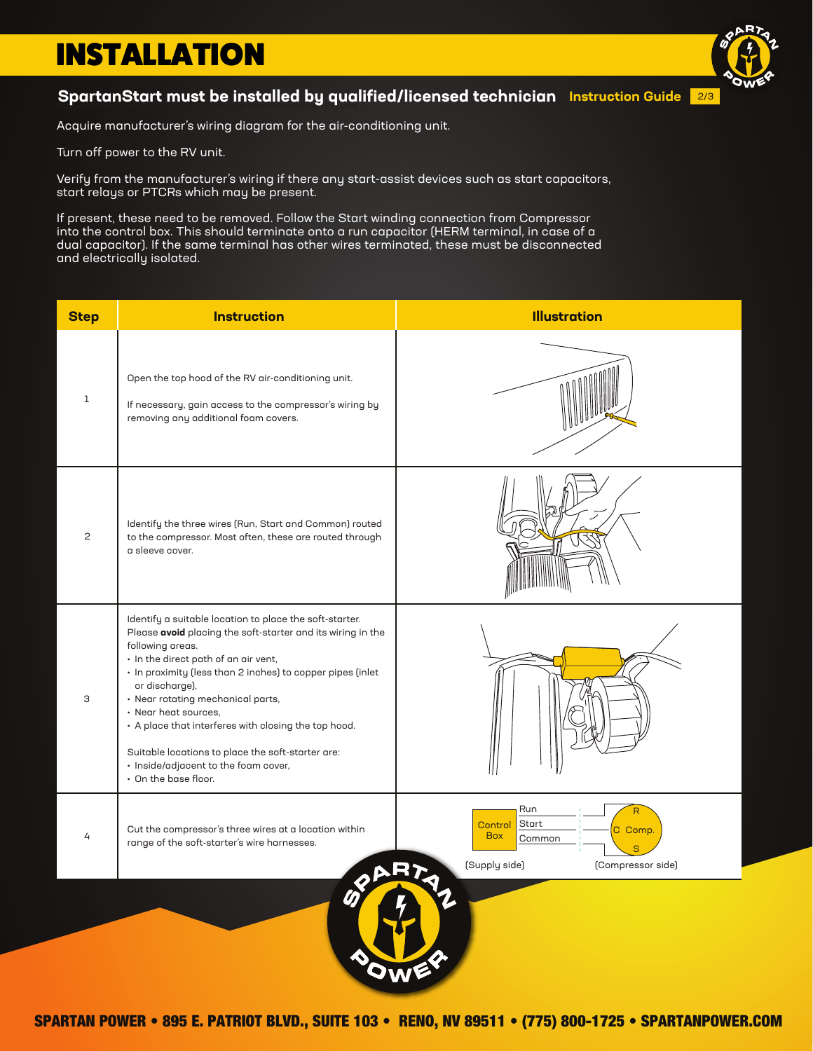# INSTALLATION

## SpartanStart must be installed by qualified/licensed technician Instruction Guide <mark>2/3</mark>

Acquire manufacturer's wiring diagram for the air-conditioning unit.

Turn off power to the RV unit.

Verify from the manufacturer's wiring if there any start-assist devices such as start capacitors, start relays or PTCRs which may be present.

If present, these need to be removed. Follow the Start winding connection from Compressor into the control box. This should terminate onto a run capacitor (HERM terminal, in case of a dual capacitor). If the same terminal has other wires terminated, these must be disconnected and electrically isolated.

| <b>Step</b>                                              | <b>Instruction</b>                                                                                                                                                                                                                                                                                                                                                                                                                                                                                           | <b>Illustration</b>                                                                              |  |  |
|----------------------------------------------------------|--------------------------------------------------------------------------------------------------------------------------------------------------------------------------------------------------------------------------------------------------------------------------------------------------------------------------------------------------------------------------------------------------------------------------------------------------------------------------------------------------------------|--------------------------------------------------------------------------------------------------|--|--|
| $\mathbf 1$                                              | Open the top hood of the RV air-conditioning unit.<br>If necessary, gain access to the compressor's wiring by<br>removing any additional foam covers.                                                                                                                                                                                                                                                                                                                                                        |                                                                                                  |  |  |
| $\mathbf{2}$                                             | Identify the three wires (Run, Start and Common) routed<br>to the compressor. Most often, these are routed through<br>a sleeve cover.                                                                                                                                                                                                                                                                                                                                                                        |                                                                                                  |  |  |
| З                                                        | Identify a suitable location to place the soft-starter.<br>Please avoid placing the soft-starter and its wiring in the<br>following areas.<br>· In the direct path of an air vent,<br>• In proximity (less than 2 inches) to copper pipes (inlet<br>or discharge),<br>• Near rotating mechanical parts,<br>• Near heat sources,<br>• A place that interferes with closing the top hood.<br>Suitable locations to place the soft-starter are:<br>· Inside/adjacent to the foam cover,<br>• On the base floor. |                                                                                                  |  |  |
| 4                                                        | Cut the compressor's three wires at a location within<br>range of the soft-starter's wire harnesses.                                                                                                                                                                                                                                                                                                                                                                                                         | Run<br>Start<br>Control<br>C Comp.<br><b>Box</b><br>Common<br>(Supply side)<br>(Compressor side) |  |  |
| $\bigcirc \hspace{-0.75mm} \bigcirc$<br>$\bullet$<br>OWE |                                                                                                                                                                                                                                                                                                                                                                                                                                                                                                              |                                                                                                  |  |  |